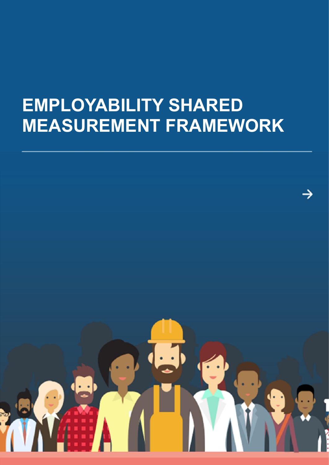## **EMPLOYABILITY SHARED MEASUREMENT FRAMEWORK**

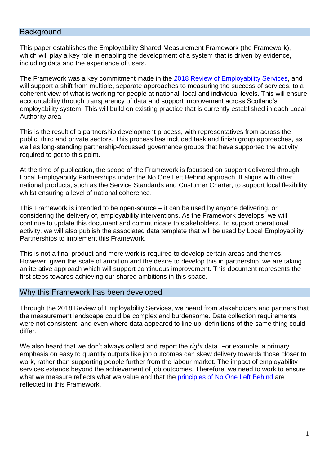#### **Background**

This paper establishes the Employability Shared Measurement Framework (the Framework), which will play a key role in enabling the development of a system that is driven by evidence, including data and the experience of users.

The Framework was a key commitment made in the [2018 Review of Employability Services,](https://www.gov.scot/publications/one-left-behind-review-employability-services/pages/6/) and will support a shift from multiple, separate approaches to measuring the success of services, to a coherent view of what is working for people at national, local and individual levels. This will ensure accountability through transparency of data and support improvement across Scotland's employability system. This will build on existing practice that is currently established in each Local Authority area.

This is the result of a partnership development process, with representatives from across the public, third and private sectors. This process has included task and finish group approaches, as well as long-standing partnership-focussed governance groups that have supported the activity required to get to this point.

At the time of publication, the scope of the Framework is focussed on support delivered through Local Employability Partnerships under the No One Left Behind approach. It aligns with other national products, such as the Service Standards and Customer Charter, to support local flexibility whilst ensuring a level of national coherence.

This Framework is intended to be open-source – it can be used by anyone delivering, or considering the delivery of, employability interventions. As the Framework develops, we will continue to update this document and communicate to stakeholders. To support operational activity, we will also publish the associated data template that will be used by Local Employability Partnerships to implement this Framework.

This is not a final product and more work is required to develop certain areas and themes. However, given the scale of ambition and the desire to develop this in partnership, we are taking an iterative approach which will support continuous improvement. This document represents the first steps towards achieving our shared ambitions in this space.

#### Why this Framework has been developed

Through the 2018 Review of Employability Services, we heard from stakeholders and partners that the measurement landscape could be complex and burdensome. Data collection requirements were not consistent, and even where data appeared to line up, definitions of the same thing could differ.

We also heard that we don't always collect and report the *right* data. For example, a primary emphasis on easy to quantify outputs like job outcomes can skew delivery towards those closer to work, rather than supporting people further from the labour market. The impact of employability services extends beyond the achievement of job outcomes. Therefore, we need to work to ensure what we measure reflects what we value and that the [principles of No One Left Behind](https://www.employabilityinscotland.com/policy/no-one-left-behind/) are reflected in this Framework.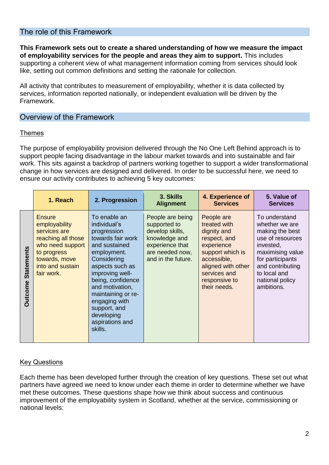#### The role of this Framework

**This Framework sets out to create a shared understanding of how we measure the impact of employability services for the people and areas they aim to support.** This includes supporting a coherent view of what management information coming from services should look like, setting out common definitions and setting the rationale for collection.

All activity that contributes to measurement of employability, whether it is data collected by services, information reported nationally, or independent evaluation will be driven by the Framework.

#### Overview of the Framework

#### Themes

The purpose of employability provision delivered through the No One Left Behind approach is to support people facing disadvantage in the labour market towards and into sustainable and fair work. This sits against a backdrop of partners working together to support a wider transformational change in how services are designed and delivered. In order to be successful here, we need to ensure our activity contributes to achieving 5 key outcomes:

|                                     | 1. Reach                                                                                                                                                   | 2. Progression                                                                                                                                                                                                                                                                                   | 3. Skills<br><b>Alignment</b>                                                                                                    | 4. Experience of<br><b>Services</b>                                                                                                                                               | 5. Value of<br><b>Services</b>                                                                                                                                                                   |
|-------------------------------------|------------------------------------------------------------------------------------------------------------------------------------------------------------|--------------------------------------------------------------------------------------------------------------------------------------------------------------------------------------------------------------------------------------------------------------------------------------------------|----------------------------------------------------------------------------------------------------------------------------------|-----------------------------------------------------------------------------------------------------------------------------------------------------------------------------------|--------------------------------------------------------------------------------------------------------------------------------------------------------------------------------------------------|
| <b>Statements</b><br><b>Outcome</b> | <b>Ensure</b><br>employability<br>services are<br>reaching all those<br>who need support<br>to progress<br>towards, move<br>into and sustain<br>fair work. | To enable an<br>individual's<br>progression<br>towards fair work<br>and sustained<br>employment.<br>Considering<br>aspects such as<br>improving well-<br>being, confidence<br>and motivation,<br>maintaining or re-<br>engaging with<br>support, and<br>developing<br>aspirations and<br>skills. | People are being<br>supported to<br>develop skills,<br>knowledge and<br>experience that<br>are needed now,<br>and in the future. | People are<br>treated with<br>dignity and<br>respect, and<br>experience<br>support which is<br>accessible,<br>aligned with other<br>services and<br>responsive to<br>their needs. | To understand<br>whether we are<br>making the best<br>use of resources<br>invested,<br>maximising value<br>for participants<br>and contributing<br>to local and<br>national policy<br>ambitions. |

#### **Key Questions**

Each theme has been developed further through the creation of key questions. These set out what partners have agreed we need to know under each theme in order to determine whether we have met these outcomes. These questions shape how we think about success and continuous improvement of the employability system in Scotland, whether at the service, commissioning or national levels: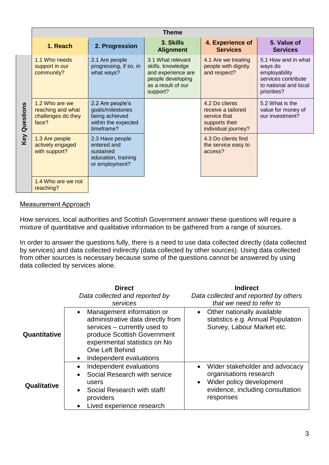|                  | <b>Theme</b>                                                       |                                                                                             |                                                                                                                     |                                                                                               |                                                                                                                |  |
|------------------|--------------------------------------------------------------------|---------------------------------------------------------------------------------------------|---------------------------------------------------------------------------------------------------------------------|-----------------------------------------------------------------------------------------------|----------------------------------------------------------------------------------------------------------------|--|
|                  | 1. Reach                                                           | 2. Progression                                                                              | 3. Skills<br><b>Alignment</b>                                                                                       | 4. Experience of<br><b>Services</b>                                                           | 5. Value of<br><b>Services</b>                                                                                 |  |
|                  | 1.1 Who needs<br>support in our<br>community?                      | 2.1 Are people<br>progressing, if so, in<br>what ways?                                      | 3.1 What relevant<br>skills, knowledge<br>and experience are<br>people developing<br>as a result of our<br>support? | 4.1 Are we treating<br>people with dignity<br>and respect?                                    | 5.1 How and in what<br>ways do<br>employability<br>services contribute<br>to national and local<br>priorities? |  |
| Questions<br>Key | 1.2 Who are we<br>reaching and what<br>challenges do they<br>face? | 2.2 Are people's<br>goals/milestones<br>being achieved<br>within the expected<br>timeframe? |                                                                                                                     | 4.2 Do clients<br>receive a tailored<br>service that<br>supports their<br>individual journey? | 5.2 What is the<br>value for money of<br>our investment?                                                       |  |
|                  | 1.3 Are people<br>actively engaged<br>with support?                | 2.3 Have people<br>entered and<br>sustained<br>education, training<br>or employment?        |                                                                                                                     | 4.3 Do clients find<br>the service easy to<br>access?                                         |                                                                                                                |  |
|                  | 1.4 Who are we not<br>reaching?                                    |                                                                                             |                                                                                                                     |                                                                                               |                                                                                                                |  |

#### Measurement Approach

How services, local authorities and Scottish Government answer these questions will require a mixture of quantitative and qualitative information to be gathered from a range of sources.

In order to answer the questions fully, there is a need to use data collected directly (data collected by services) and data collected indirectly (data collected by other sources). Using data collected from other sources is necessary because some of the questions cannot be answered by using data collected by services alone.

|              | <b>Direct</b><br>Data collected and reported by<br>services                                                                                                                                                                                   | <b>Indirect</b><br>Data collected and reported by others<br>that we need to refer to                                                               |
|--------------|-----------------------------------------------------------------------------------------------------------------------------------------------------------------------------------------------------------------------------------------------|----------------------------------------------------------------------------------------------------------------------------------------------------|
| Quantitative | Management information or<br>$\bullet$<br>administrative data directly from<br>services – currently used to<br>produce Scottish Government<br>experimental statistics on No<br><b>One Left Behind</b><br>Independent evaluations<br>$\bullet$ | Other nationally available<br>statistics e.g. Annual Population<br>Survey, Labour Market etc.                                                      |
| Qualitative  | Independent evaluations<br>$\bullet$<br>Social Research with service<br>$\bullet$<br>users<br>Social Research with staff/<br>$\bullet$<br>providers<br>Lived experience research<br>$\bullet$                                                 | Wider stakeholder and advocacy<br>organisations research<br>Wider policy development<br>$\bullet$<br>evidence, including consultation<br>responses |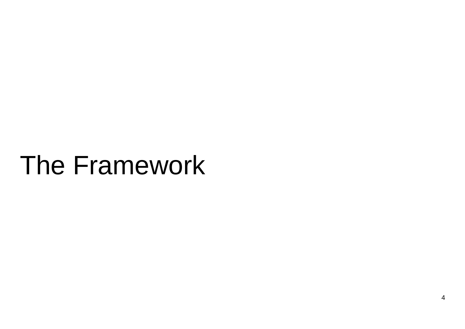# The Framework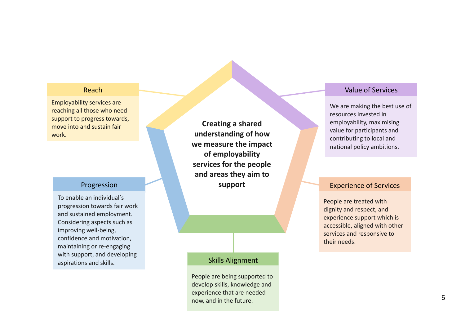#### Reach

Employability services are reaching all those who need support to progress towards, move into and sustain fair work.

#### Progression

To enable an individual 's progression towards fair work and sustained employment. Considering aspects such as improving well -being, confidence and motivation, maintaining or re -engaging with support, and developing aspirations and skills.

**Creating a shared understanding of how we measure the impact of employability services for the people and areas they aim to support**

#### Skills Alignment

People are being supported to develop skills, knowledge and experience that are needed now, and in the future.

#### Value of Services

We are making the best use of resources invested in employability, maximising value for participants and contributing to local and national policy ambitions.

#### Experience of Services

People are treated with dignity and respect, and experience support which is accessible, aligned with other services and responsive to their needs.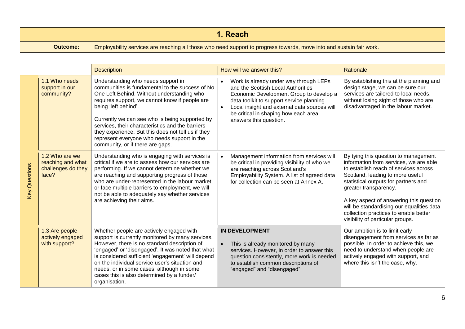|                 | 1. Reach                                                                                                             |
|-----------------|----------------------------------------------------------------------------------------------------------------------|
| <b>Outcome:</b> | Employability services are reaching all those who need support to progress towards, move into and sustain fair work. |
|                 |                                                                                                                      |

|                      |                                                                    | <b>Description</b>                                                                                                                                                                                                                                                                                                                                                                                                                                           | How will we answer this?                                                                                                                                                                                                                                                                            | Rationale                                                                                                                                                                                                                                                                                                                                                                                         |
|----------------------|--------------------------------------------------------------------|--------------------------------------------------------------------------------------------------------------------------------------------------------------------------------------------------------------------------------------------------------------------------------------------------------------------------------------------------------------------------------------------------------------------------------------------------------------|-----------------------------------------------------------------------------------------------------------------------------------------------------------------------------------------------------------------------------------------------------------------------------------------------------|---------------------------------------------------------------------------------------------------------------------------------------------------------------------------------------------------------------------------------------------------------------------------------------------------------------------------------------------------------------------------------------------------|
|                      | 1.1 Who needs<br>support in our<br>community?                      | Understanding who needs support in<br>communities is fundamental to the success of No<br>One Left Behind. Without understanding who<br>requires support, we cannot know if people are<br>being 'left behind'.<br>Currently we can see who is being supported by<br>services, their characteristics and the barriers<br>they experience. But this does not tell us if they<br>represent everyone who needs support in the<br>community, or if there are gaps. | Work is already under way through LEPs<br>and the Scottish Local Authorities<br>Economic Development Group to develop a<br>data toolkit to support service planning.<br>Local insight and external data sources will<br>$\bullet$<br>be critical in shaping how each area<br>answers this question. | By establishing this at the planning and<br>design stage, we can be sure our<br>services are tailored to local needs,<br>without losing sight of those who are<br>disadvantaged in the labour market.                                                                                                                                                                                             |
| <b>Key Questions</b> | 1.2 Who are we<br>reaching and what<br>challenges do they<br>face? | Understanding who is engaging with services is<br>critical if we are to assess how our services are<br>performing. If we cannot determine whether we<br>are reaching and supporting progress of those<br>who are under-represented in the labour market,<br>or face multiple barriers to employment, we will<br>not be able to adequately say whether services<br>are achieving their aims.                                                                  | Management information from services will<br>be critical in providing visibility of who we<br>are reaching across Scotland's<br>Employability System. A list of agreed data<br>for collection can be seen at Annex A.                                                                               | By tying this question to management<br>information from services, we are able<br>to establish reach of services across<br>Scotland, leading to more useful<br>statistical outputs for partners and<br>greater transparency.<br>A key aspect of answering this question<br>will be standardising our equalities data<br>collection practices to enable better<br>visibility of particular groups. |
|                      | 1.3 Are people<br>actively engaged<br>with support?                | Whether people are actively engaged with<br>support is currently monitored by many services.<br>However, there is no standard description of<br>'engaged' or 'disengaged'. It was noted that what<br>is considered sufficient 'engagement' will depend<br>on the individual service user's situation and<br>needs, or in some cases, although in some<br>cases this is also determined by a funder/<br>organisation.                                         | <b>IN DEVELOPMENT</b><br>This is already monitored by many<br>$\bullet$<br>services. However, in order to answer this<br>question consistently, more work is needed<br>to establish common descriptions of<br>"engaged" and "disengaged"                                                            | Our ambition is to limit early<br>disengagement from services as far as<br>possible. In order to achieve this, we<br>need to understand when people are<br>actively engaged with support, and<br>where this isn't the case, why.                                                                                                                                                                  |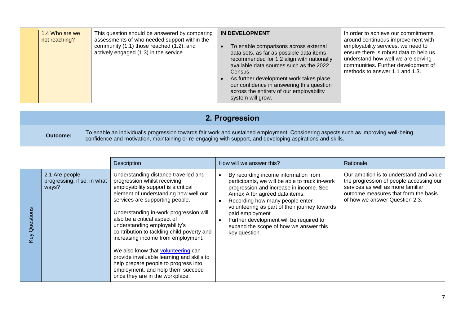|  | 1.4 Who are we<br>not reaching? | This question should be answered by comparing<br>assessments of who needed support within the<br>community (1.1) those reached (1.2), and<br>actively engaged (1.3) in the service. | <b>IN DEVELOPMENT</b><br>To enable comparisons across external<br>data sets, as far as possible data items<br>recommended for 1.2 align with nationally<br>available data sources such as the 2022<br>Census.<br>As further development work takes place,<br>our confidence in answering this question<br>across the entirety of our employability<br>system will grow. | In order to achieve our commitments<br>around continuous improvement with<br>employability services, we need to<br>ensure there is robust data to help us<br>understand how well we are serving<br>communities. Further development of<br>methods to answer 1.1 and 1.3. |
|--|---------------------------------|-------------------------------------------------------------------------------------------------------------------------------------------------------------------------------------|-------------------------------------------------------------------------------------------------------------------------------------------------------------------------------------------------------------------------------------------------------------------------------------------------------------------------------------------------------------------------|--------------------------------------------------------------------------------------------------------------------------------------------------------------------------------------------------------------------------------------------------------------------------|
|--|---------------------------------|-------------------------------------------------------------------------------------------------------------------------------------------------------------------------------------|-------------------------------------------------------------------------------------------------------------------------------------------------------------------------------------------------------------------------------------------------------------------------------------------------------------------------------------------------------------------------|--------------------------------------------------------------------------------------------------------------------------------------------------------------------------------------------------------------------------------------------------------------------------|

|                 | 2. Progression                                                                                                                                                                                                                                    |
|-----------------|---------------------------------------------------------------------------------------------------------------------------------------------------------------------------------------------------------------------------------------------------|
| <b>Outcome:</b> | To enable an individual's progression towards fair work and sustained employment. Considering aspects such as improving well-being,<br>confidence and motivation, maintaining or re-engaging with support, and developing aspirations and skills. |

|                  |                                                        | Description                                                                                                                                                                                                                                                                                                                                                                                                                                                                                                                                                                                      | How will we answer this?                                                                                                                                                                                                                                                                                                                                                         | Rationale                                                                                                                                                                                         |
|------------------|--------------------------------------------------------|--------------------------------------------------------------------------------------------------------------------------------------------------------------------------------------------------------------------------------------------------------------------------------------------------------------------------------------------------------------------------------------------------------------------------------------------------------------------------------------------------------------------------------------------------------------------------------------------------|----------------------------------------------------------------------------------------------------------------------------------------------------------------------------------------------------------------------------------------------------------------------------------------------------------------------------------------------------------------------------------|---------------------------------------------------------------------------------------------------------------------------------------------------------------------------------------------------|
| Questions<br>Key | 2.1 Are people<br>progressing, if so, in what<br>ways? | Understanding distance travelled and<br>progression whilst receiving<br>employability support is a critical<br>element of understanding how well our<br>services are supporting people.<br>Understanding in-work progression will<br>also be a critical aspect of<br>understanding employability's<br>contribution to tackling child poverty and<br>increasing income from employment.<br>We also know that <b>volunteering</b> can<br>provide invaluable learning and skills to<br>help prepare people to progress into<br>employment, and help them succeed<br>once they are in the workplace. | By recording income information from<br>participants, we will be able to track in-work<br>progression and increase in income. See<br>Annex A for agreed data items.<br>Recording how many people enter<br>volunteering as part of their journey towards<br>paid employment<br>Further development will be required to<br>expand the scope of how we answer this<br>key question. | Our ambition is to understand and value<br>the progression of people accessing our<br>services as well as more familiar<br>outcome measures that form the basis<br>of how we answer Question 2.3. |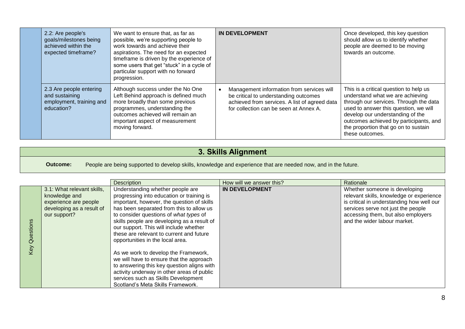| 2.2: Are people's<br>goals/milestones being<br>achieved within the<br>expected timeframe? | We want to ensure that, as far as<br>possible, we're supporting people to<br>work towards and achieve their<br>aspirations. The need for an expected<br>timeframe is driven by the experience of<br>some users that get "stuck" in a cycle of<br>particular support with no forward<br>progression. | <b>IN DEVELOPMENT</b>                                                                                                                                                         | Once developed, this key question<br>should allow us to identify whether<br>people are deemed to be moving<br>towards an outcome.                                                                                                                                                                      |
|-------------------------------------------------------------------------------------------|-----------------------------------------------------------------------------------------------------------------------------------------------------------------------------------------------------------------------------------------------------------------------------------------------------|-------------------------------------------------------------------------------------------------------------------------------------------------------------------------------|--------------------------------------------------------------------------------------------------------------------------------------------------------------------------------------------------------------------------------------------------------------------------------------------------------|
| 2.3 Are people entering<br>and sustaining<br>employment, training and<br>education?       | Although success under the No One<br>Left Behind approach is defined much<br>more broadly than some previous<br>programmes, understanding the<br>outcomes achieved will remain an<br>important aspect of measurement<br>moving forward.                                                             | Management information from services will<br>be critical to understanding outcomes<br>achieved from services. A list of agreed data<br>for collection can be seen at Annex A. | This is a critical question to help us<br>understand what we are achieving<br>through our services. Through the data<br>used to answer this question, we will<br>develop our understanding of the<br>outcomes achieved by participants, and<br>the proportion that go on to sustain<br>these outcomes. |

## **3. Skills Alignment**

**Outcome:** People are being supported to develop skills, knowledge and experience that are needed now, and in the future.

|                                            |                                                                                                                   | <b>Description</b>                                                                                                                                                                                                                                                                                                                                                                                                                                                             | How will we answer this? | Rationale                                                                                                                                                                                                                          |
|--------------------------------------------|-------------------------------------------------------------------------------------------------------------------|--------------------------------------------------------------------------------------------------------------------------------------------------------------------------------------------------------------------------------------------------------------------------------------------------------------------------------------------------------------------------------------------------------------------------------------------------------------------------------|--------------------------|------------------------------------------------------------------------------------------------------------------------------------------------------------------------------------------------------------------------------------|
| uestions<br>$\bar{\mathbf{\sigma}}$<br>Key | 3.1: What relevant skills,<br>knowledge and<br>experience are people<br>developing as a result of<br>our support? | Understanding whether people are<br>progressing into education or training is<br>important, however, the question of skills<br>has been separated from this to allow us<br>to consider questions of what types of<br>skills people are developing as a result of<br>our support. This will include whether<br>these are relevant to current and future<br>opportunities in the local area.<br>As we work to develop the Framework,<br>we will have to ensure that the approach | <b>IN DEVELOPMENT</b>    | Whether someone is developing<br>relevant skills, knowledge or experience<br>is critical in understanding how well our<br>services serve not just the people<br>accessing them, but also employers<br>and the wider labour market. |
|                                            |                                                                                                                   | to answering this key question aligns with<br>activity underway in other areas of public<br>services such as Skills Development                                                                                                                                                                                                                                                                                                                                                |                          |                                                                                                                                                                                                                                    |
|                                            |                                                                                                                   | Scotland's Meta Skills Framework.                                                                                                                                                                                                                                                                                                                                                                                                                                              |                          |                                                                                                                                                                                                                                    |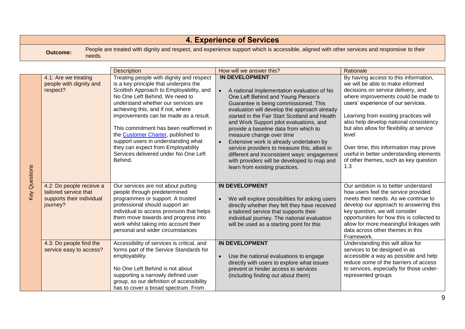|               | <b>4. Experience of Services</b>                                                           |                                                                                                                                                                                                                                                                                                                                                                                                                                                                                                             |                                                                                                                                                                                                                                                                                                                                                                                                                                                                                                                                                                                                |                                                                                                                                                                                                                                                                                                                                                                                                                                                                           |  |  |
|---------------|--------------------------------------------------------------------------------------------|-------------------------------------------------------------------------------------------------------------------------------------------------------------------------------------------------------------------------------------------------------------------------------------------------------------------------------------------------------------------------------------------------------------------------------------------------------------------------------------------------------------|------------------------------------------------------------------------------------------------------------------------------------------------------------------------------------------------------------------------------------------------------------------------------------------------------------------------------------------------------------------------------------------------------------------------------------------------------------------------------------------------------------------------------------------------------------------------------------------------|---------------------------------------------------------------------------------------------------------------------------------------------------------------------------------------------------------------------------------------------------------------------------------------------------------------------------------------------------------------------------------------------------------------------------------------------------------------------------|--|--|
|               | <b>Outcome:</b><br>needs.                                                                  |                                                                                                                                                                                                                                                                                                                                                                                                                                                                                                             | People are treated with dignity and respect, and experience support which is accessible, aligned with other services and responsive to their                                                                                                                                                                                                                                                                                                                                                                                                                                                   |                                                                                                                                                                                                                                                                                                                                                                                                                                                                           |  |  |
|               |                                                                                            |                                                                                                                                                                                                                                                                                                                                                                                                                                                                                                             |                                                                                                                                                                                                                                                                                                                                                                                                                                                                                                                                                                                                |                                                                                                                                                                                                                                                                                                                                                                                                                                                                           |  |  |
|               |                                                                                            | <b>Description</b>                                                                                                                                                                                                                                                                                                                                                                                                                                                                                          | How will we answer this?                                                                                                                                                                                                                                                                                                                                                                                                                                                                                                                                                                       | Rationale                                                                                                                                                                                                                                                                                                                                                                                                                                                                 |  |  |
| Key Questions | 4.1: Are we treating<br>people with dignity and<br>respect?                                | Treating people with dignity and respect<br>is a key principle that underpins the<br>Scottish Approach to Employability, and<br>No One Left Behind. We need to<br>understand whether our services are<br>achieving this, and if not, where<br>improvements can be made as a result.<br>This commitment has been reaffirmed in<br>the <b>Customer Charter</b> , published to<br>support users in understanding what<br>they can expect from Employability<br>Services delivered under No One Left<br>Behind. | <b>IN DEVELOPMENT</b><br>A national implementation evaluation of No<br>One Left Behind and Young Person's<br>Guarantee is being commissioned. This<br>evaluation will develop the approach already<br>started in the Fair Start Scotland and Health<br>and Work Support pilot evaluations, and<br>provide a baseline data from which to<br>measure change over time<br>Extensive work is already undertaken by<br>service providers to measure this, albeit in<br>different and inconsistent ways: engagement<br>with providers will be developed to map and<br>learn from existing practices. | By having access to this information,<br>we will be able to make informed<br>decisions on service delivery, and<br>where improvements could be made to<br>users' experience of our services.<br>Learning from existing practices will<br>also help develop national consistency<br>but also allow for flexibility at service<br>level<br>Over time, this information may prove<br>useful in better understanding elements<br>of other themes, such as key question<br>1.3 |  |  |
|               | 4.2: Do people receive a<br>tailored service that<br>supports their individual<br>journey? | Our services are not about putting<br>people through predetermined<br>programmes or support. A trusted<br>professional should support an<br>individual to access provision that helps<br>them move towards and progress into<br>work whilst taking into account their<br>personal and wider circumstances                                                                                                                                                                                                   | <b>IN DEVELOPMENT</b><br>We will explore possibilities for asking users<br>$\bullet$<br>directly whether they felt they have received<br>a tailored service that supports their<br>individual journey. The national evaluation<br>will be used as a starting point for this                                                                                                                                                                                                                                                                                                                    | Our ambition is to better understand<br>how users feel the service provided<br>meets their needs. As we continue to<br>develop our approach to answering this<br>key question, we will consider<br>opportunities for how this is collected to<br>allow for more meaningful linkages with<br>data across other themes in this<br>Framework.                                                                                                                                |  |  |
|               | 4.3: Do people find the<br>service easy to access?                                         | Accessibility of services is critical, and<br>forms part of the Service Standards for<br>employability.<br>No One Left Behind is not about<br>supporting a narrowly defined user<br>group, so our definition of accessibility<br>has to cover a broad spectrum. From                                                                                                                                                                                                                                        | <b>IN DEVELOPMENT</b><br>Use the national evaluations to engage<br>$\bullet$<br>directly with users to explore what issues<br>prevent or hinder access to services<br>(including finding out about them)                                                                                                                                                                                                                                                                                                                                                                                       | Understanding this will allow for<br>services to be designed in as<br>accessible a way as possible and help<br>reduce some of the barriers of access<br>to services, especially for those under-<br>represented groups                                                                                                                                                                                                                                                    |  |  |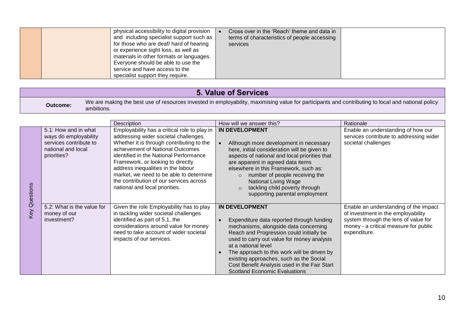|  | physical accessibility to digital provision<br>and including specialist support such as<br>for those who are deaf/ hard of hearing<br>or experience sight loss, as well as<br>materials in other formats or languages.<br>Everyone should be able to use the<br>service and have access to the<br>specialist support they require. |  | Cross over in the 'Reach' theme and data in<br>terms of characteristics of people accessing<br>services |  |
|--|------------------------------------------------------------------------------------------------------------------------------------------------------------------------------------------------------------------------------------------------------------------------------------------------------------------------------------|--|---------------------------------------------------------------------------------------------------------|--|
|--|------------------------------------------------------------------------------------------------------------------------------------------------------------------------------------------------------------------------------------------------------------------------------------------------------------------------------------|--|---------------------------------------------------------------------------------------------------------|--|

## **5. Value of Services**

**Outcome:** We are making the best use of resources invested in employability, maximising value for participants and contributing to local and national policy ambitions.

|                      |                                                                                                              | Description                                                                                                                                                                                                                                                                                                                                                                                                         | How will we answer this?                                                                                                                                                                                                                                                                                                                                                                                       | Rationale                                                                                                                                                                    |
|----------------------|--------------------------------------------------------------------------------------------------------------|---------------------------------------------------------------------------------------------------------------------------------------------------------------------------------------------------------------------------------------------------------------------------------------------------------------------------------------------------------------------------------------------------------------------|----------------------------------------------------------------------------------------------------------------------------------------------------------------------------------------------------------------------------------------------------------------------------------------------------------------------------------------------------------------------------------------------------------------|------------------------------------------------------------------------------------------------------------------------------------------------------------------------------|
| <b>Key Questions</b> | 5.1: How and in what<br>ways do employability<br>services contribute to<br>national and local<br>priorities? | Employability has a critical role to play in<br>addressing wider societal challenges.<br>Whether it is through contributing to the<br>achievement of National Outcomes<br>identified in the National Performance<br>Framework, or looking to directly<br>address inequalities in the labour<br>market, we need to be able to determine<br>the contribution of our services across<br>national and local priorities. | <b>IN DEVELOPMENT</b><br>Although more development in necessary<br>here, initial consideration will be given to<br>aspects of national and local priorities that<br>are apparent in agreed data items<br>elsewhere in this Framework, such as:<br>number of people receiving the<br>$\Omega$<br><b>National Living Wage</b><br>tackling child poverty through<br>$\Omega$<br>supporting parental employment    | Enable an understanding of how our<br>services contribute to addressing wider<br>societal challenges                                                                         |
|                      | 5.2: What is the value for<br>money of our<br>investment?                                                    | Given the role Employability has to play<br>in tackling wider societal challenges<br>identified as part of 5.1, the<br>considerations around value for money<br>need to take account of wider societal<br>impacts of our services.                                                                                                                                                                                  | <b>IN DEVELOPMENT</b><br>Expenditure data reported through funding<br>mechanisms, alongside data concerning<br>Reach and Progression could initially be<br>used to carry out value for money analysis<br>at a national level<br>The approach to this work will be driven by<br>existing approaches, such as the Social<br>Cost Benefit Analysis used in the Fair Start<br><b>Scotland Economic Evaluations</b> | Enable an understanding of the impact<br>of investment in the employability<br>system through the lens of value for<br>money - a critical measure for public<br>expenditure. |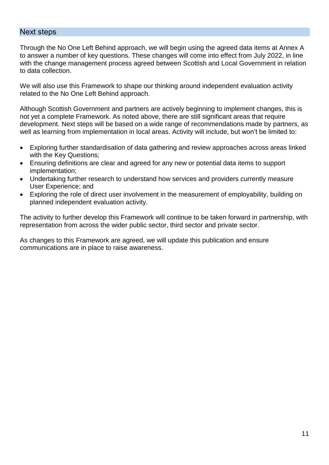#### Next steps

Through the No One Left Behind approach, we will begin using the agreed data items at Annex A to answer a number of key questions. These changes will come into effect from July 2022, in line with the change management process agreed between Scottish and Local Government in relation to data collection.

We will also use this Framework to shape our thinking around independent evaluation activity related to the No One Left Behind approach.

Although Scottish Government and partners are actively beginning to implement changes, this is not yet a complete Framework. As noted above, there are still significant areas that require development. Next steps will be based on a wide range of recommendations made by partners, as well as learning from implementation in local areas. Activity will include, but won't be limited to:

- Exploring further standardisation of data gathering and review approaches across areas linked with the Key Questions;
- Ensuring definitions are clear and agreed for any new or potential data items to support implementation;
- Undertaking further research to understand how services and providers currently measure User Experience; and
- Exploring the role of direct user involvement in the measurement of employability, building on planned independent evaluation activity.

The activity to further develop this Framework will continue to be taken forward in partnership, with representation from across the wider public sector, third sector and private sector.

As changes to this Framework are agreed, we will update this publication and ensure communications are in place to raise awareness.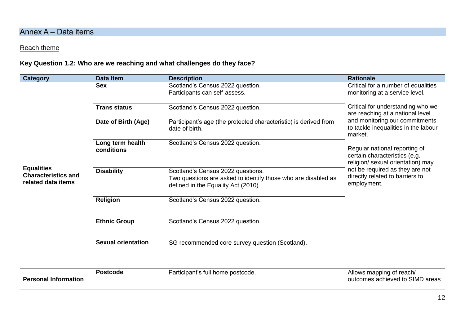## Annex A – Data items

## Reach theme

#### **Key Question 1.2: Who are we reaching and what challenges do they face?**

| <b>Category</b>                                                       | <b>Data Item</b>               | <b>Description</b>                                                                                                                        | <b>Rationale</b>                                                                                    |
|-----------------------------------------------------------------------|--------------------------------|-------------------------------------------------------------------------------------------------------------------------------------------|-----------------------------------------------------------------------------------------------------|
|                                                                       | <b>Sex</b>                     | Scotland's Census 2022 question.<br>Participants can self-assess.                                                                         | Critical for a number of equalities<br>monitoring at a service level.                               |
|                                                                       | <b>Trans status</b>            | Scotland's Census 2022 question.                                                                                                          | Critical for understanding who we<br>are reaching at a national level                               |
|                                                                       | Date of Birth (Age)            | Participant's age (the protected characteristic) is derived from<br>date of birth.                                                        | and monitoring our commitments<br>to tackle inequalities in the labour<br>market.                   |
|                                                                       | Long term health<br>conditions | Scotland's Census 2022 question.                                                                                                          | Regular national reporting of<br>certain characteristics (e.g.<br>religion/ sexual orientation) may |
| <b>Equalities</b><br><b>Characteristics and</b><br>related data items | <b>Disability</b>              | Scotland's Census 2022 questions.<br>Two questions are asked to identify those who are disabled as<br>defined in the Equality Act (2010). | not be required as they are not<br>directly related to barriers to<br>employment.                   |
|                                                                       | <b>Religion</b>                | Scotland's Census 2022 question.                                                                                                          |                                                                                                     |
|                                                                       | <b>Ethnic Group</b>            | Scotland's Census 2022 question.                                                                                                          |                                                                                                     |
|                                                                       | <b>Sexual orientation</b>      | SG recommended core survey question (Scotland).                                                                                           |                                                                                                     |
| <b>Personal Information</b>                                           | <b>Postcode</b>                | Participant's full home postcode.                                                                                                         | Allows mapping of reach/<br>outcomes achieved to SIMD areas                                         |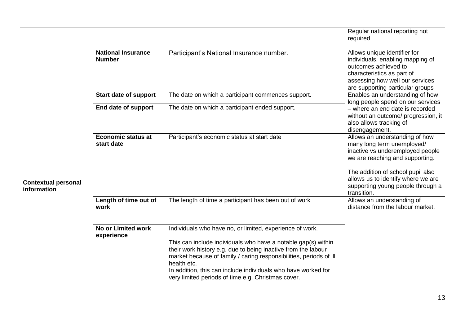|                                           |                                            |                                                                                                                                                                                                                                                                                                                                                                                                        | Regular national reporting not<br>required                                                                                                                                                                                                                         |
|-------------------------------------------|--------------------------------------------|--------------------------------------------------------------------------------------------------------------------------------------------------------------------------------------------------------------------------------------------------------------------------------------------------------------------------------------------------------------------------------------------------------|--------------------------------------------------------------------------------------------------------------------------------------------------------------------------------------------------------------------------------------------------------------------|
|                                           | <b>National Insurance</b><br><b>Number</b> | Participant's National Insurance number.                                                                                                                                                                                                                                                                                                                                                               | Allows unique identifier for<br>individuals, enabling mapping of<br>outcomes achieved to<br>characteristics as part of<br>assessing how well our services<br>are supporting particular groups                                                                      |
|                                           | <b>Start date of support</b>               | The date on which a participant commences support.                                                                                                                                                                                                                                                                                                                                                     | Enables an understanding of how<br>long people spend on our services                                                                                                                                                                                               |
|                                           | End date of support                        | The date on which a participant ended support.                                                                                                                                                                                                                                                                                                                                                         | - where an end date is recorded<br>without an outcome/ progression, it<br>also allows tracking of<br>disengagement.                                                                                                                                                |
| <b>Contextual personal</b><br>information | <b>Economic status at</b><br>start date    | Participant's economic status at start date                                                                                                                                                                                                                                                                                                                                                            | Allows an understanding of how<br>many long term unemployed/<br>inactive vs underemployed people<br>we are reaching and supporting.<br>The addition of school pupil also<br>allows us to identify where we are<br>supporting young people through a<br>transition. |
|                                           | Length of time out of<br>work              | The length of time a participant has been out of work                                                                                                                                                                                                                                                                                                                                                  | Allows an understanding of<br>distance from the labour market.                                                                                                                                                                                                     |
|                                           | <b>No or Limited work</b><br>experience    | Individuals who have no, or limited, experience of work.<br>This can include individuals who have a notable gap(s) within<br>their work history e.g. due to being inactive from the labour<br>market because of family / caring responsibilities, periods of ill<br>health etc.<br>In addition, this can include individuals who have worked for<br>very limited periods of time e.g. Christmas cover. |                                                                                                                                                                                                                                                                    |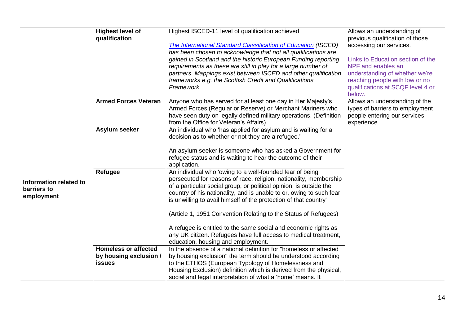|                        | <b>Highest level of</b>     | Highest ISCED-11 level of qualification achieved                                                         | Allows an understanding of        |
|------------------------|-----------------------------|----------------------------------------------------------------------------------------------------------|-----------------------------------|
|                        | qualification               |                                                                                                          | previous qualification of those   |
|                        |                             | <b>The International Standard Classification of Education (ISCED)</b>                                    | accessing our services.           |
|                        |                             | has been chosen to acknowledge that not all qualifications are                                           |                                   |
|                        |                             | gained in Scotland and the historic European Funding reporting                                           | Links to Education section of the |
|                        |                             | requirements as these are still in play for a large number of                                            | NPF and enables an                |
|                        |                             | partners. Mappings exist between ISCED and other qualification                                           | understanding of whether we're    |
|                        |                             | frameworks e.g. the Scottish Credit and Qualifications                                                   | reaching people with low or no    |
|                        |                             | Framework.                                                                                               | qualifications at SCQF level 4 or |
|                        |                             |                                                                                                          | below.                            |
|                        | <b>Armed Forces Veteran</b> | Anyone who has served for at least one day in Her Majesty's                                              | Allows an understanding of the    |
|                        |                             | Armed Forces (Regular or Reserve) or Merchant Mariners who                                               | types of barriers to employment   |
|                        |                             | have seen duty on legally defined military operations. (Definition                                       | people entering our services      |
|                        |                             | from the Office for Veteran's Affairs)<br>An individual who 'has applied for asylum and is waiting for a | experience                        |
|                        | Asylum seeker               | decision as to whether or not they are a refugee.'                                                       |                                   |
|                        |                             |                                                                                                          |                                   |
|                        |                             | An asylum seeker is someone who has asked a Government for                                               |                                   |
|                        |                             | refugee status and is waiting to hear the outcome of their                                               |                                   |
|                        |                             | application.                                                                                             |                                   |
|                        | Refugee                     | An individual who 'owing to a well-founded fear of being                                                 |                                   |
|                        |                             | persecuted for reasons of race, religion, nationality, membership                                        |                                   |
| Information related to |                             | of a particular social group, or political opinion, is outside the                                       |                                   |
| barriers to            |                             | country of his nationality, and is unable to or, owing to such fear,                                     |                                   |
| employment             |                             | is unwilling to avail himself of the protection of that country'                                         |                                   |
|                        |                             |                                                                                                          |                                   |
|                        |                             | (Article 1, 1951 Convention Relating to the Status of Refugees)                                          |                                   |
|                        |                             |                                                                                                          |                                   |
|                        |                             | A refugee is entitled to the same social and economic rights as                                          |                                   |
|                        |                             | any UK citizen. Refugees have full access to medical treatment,                                          |                                   |
|                        |                             | education, housing and employment.                                                                       |                                   |
|                        | <b>Homeless or affected</b> | In the absence of a national definition for "homeless or affected                                        |                                   |
|                        | by housing exclusion /      | by housing exclusion" the term should be understood according                                            |                                   |
|                        | <b>issues</b>               | to the ETHOS (European Typology of Homelessness and                                                      |                                   |
|                        |                             | Housing Exclusion) definition which is derived from the physical,                                        |                                   |
|                        |                             | social and legal interpretation of what a 'home' means. It                                               |                                   |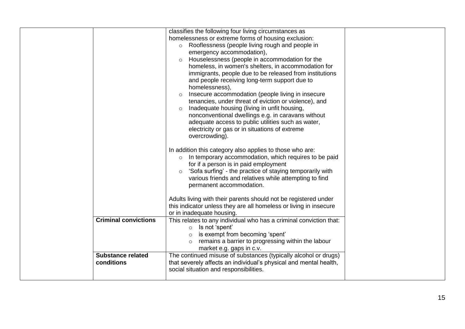|                             | classifies the following four living circumstances as                |  |
|-----------------------------|----------------------------------------------------------------------|--|
|                             | homelessness or extreme forms of housing exclusion:                  |  |
|                             | Rooflessness (people living rough and people in<br>$\circ$           |  |
|                             | emergency accommodation),                                            |  |
|                             | Houselessness (people in accommodation for the<br>$\circ$            |  |
|                             | homeless, in women's shelters, in accommodation for                  |  |
|                             | immigrants, people due to be released from institutions              |  |
|                             | and people receiving long-term support due to                        |  |
|                             | homelessness),                                                       |  |
|                             | Insecure accommodation (people living in insecure<br>$\circ$         |  |
|                             | tenancies, under threat of eviction or violence), and                |  |
|                             | Inadequate housing (living in unfit housing,<br>$\circ$              |  |
|                             | nonconventional dwellings e.g. in caravans without                   |  |
|                             | adequate access to public utilities such as water,                   |  |
|                             | electricity or gas or in situations of extreme                       |  |
|                             | overcrowding).                                                       |  |
|                             |                                                                      |  |
|                             | In addition this category also applies to those who are:             |  |
|                             | In temporary accommodation, which requires to be paid<br>$\circ$     |  |
|                             | for if a person is in paid employment                                |  |
|                             | 'Sofa surfing' - the practice of staying temporarily with<br>$\circ$ |  |
|                             | various friends and relatives while attempting to find               |  |
|                             | permanent accommodation.                                             |  |
|                             |                                                                      |  |
|                             | Adults living with their parents should not be registered under      |  |
|                             | this indicator unless they are all homeless or living in insecure    |  |
|                             | or in inadequate housing.                                            |  |
| <b>Criminal convictions</b> | This relates to any individual who has a criminal conviction that:   |  |
|                             | $\circ$ Is not 'spent'                                               |  |
|                             | is exempt from becoming 'spent'                                      |  |
|                             | remains a barrier to progressing within the labour<br>$\circ$        |  |
|                             | market e.g. gaps in c.v.                                             |  |
| <b>Substance related</b>    | The continued misuse of substances (typically alcohol or drugs)      |  |
| conditions                  | that severely affects an individual's physical and mental health,    |  |
|                             | social situation and responsibilities.                               |  |
|                             |                                                                      |  |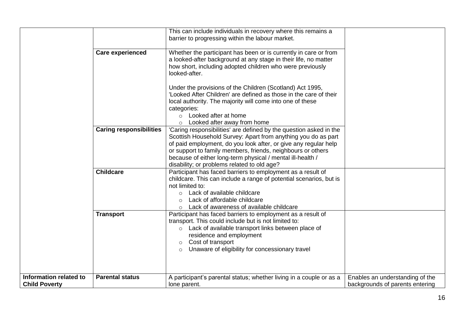|                                                | <b>Care experienced</b>        | This can include individuals in recovery where this remains a<br>barrier to progressing within the labour market.<br>Whether the participant has been or is currently in care or from<br>a looked-after background at any stage in their life, no matter<br>how short, including adopted children who were previously<br>looked-after.<br>Under the provisions of the Children (Scotland) Act 1995,<br>'Looked After Children' are defined as those in the care of their<br>local authority. The majority will come into one of these<br>categories:<br>○ Looked after at home<br>Looked after away from home<br>$\circ$ |                                                                    |
|------------------------------------------------|--------------------------------|--------------------------------------------------------------------------------------------------------------------------------------------------------------------------------------------------------------------------------------------------------------------------------------------------------------------------------------------------------------------------------------------------------------------------------------------------------------------------------------------------------------------------------------------------------------------------------------------------------------------------|--------------------------------------------------------------------|
|                                                | <b>Caring responsibilities</b> | 'Caring responsibilities' are defined by the question asked in the<br>Scottish Household Survey: Apart from anything you do as part<br>of paid employment, do you look after, or give any regular help<br>or support to family members, friends, neighbours or others<br>because of either long-term physical / mental ill-health /<br>disability; or problems related to old age?                                                                                                                                                                                                                                       |                                                                    |
|                                                | <b>Childcare</b>               | Participant has faced barriers to employment as a result of<br>childcare. This can include a range of potential scenarios, but is<br>not limited to:<br>o Lack of available childcare<br>Lack of affordable childcare<br>Lack of awareness of available childcare<br>$\circ$                                                                                                                                                                                                                                                                                                                                             |                                                                    |
|                                                | <b>Transport</b>               | Participant has faced barriers to employment as a result of<br>transport. This could include but is not limited to:<br>○ Lack of available transport links between place of<br>residence and employment<br>Cost of transport<br>$\circ$<br>Unaware of eligibility for concessionary travel<br>$\circ$                                                                                                                                                                                                                                                                                                                    |                                                                    |
| Information related to<br><b>Child Poverty</b> | <b>Parental status</b>         | A participant's parental status; whether living in a couple or as a<br>lone parent.                                                                                                                                                                                                                                                                                                                                                                                                                                                                                                                                      | Enables an understanding of the<br>backgrounds of parents entering |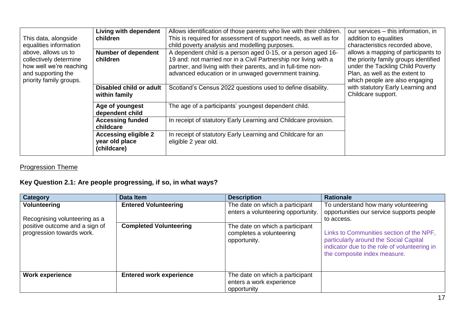|                         | <b>Living with dependent</b> | Allows identification of those parents who live with their children. | our services – this information, in   |
|-------------------------|------------------------------|----------------------------------------------------------------------|---------------------------------------|
| This data, alongside    | children                     | This is required for assessment of support needs, as well as for     | addition to equalities                |
| equalities information  |                              | child poverty analysis and modelling purposes.                       | characteristics recorded above,       |
| above, allows us to     | <b>Number of dependent</b>   | A dependent child is a person aged 0-15, or a person aged 16-        | allows a mapping of participants to   |
| collectively determine  | children                     | 19 and: not married nor in a Civil Partnership nor living with a     | the priority family groups identified |
| how well we're reaching |                              | partner, and living with their parents, and in full-time non-        | under the Tackling Child Poverty      |
| and supporting the      |                              | advanced education or in unwaged government training.                | Plan, as well as the extent to        |
| priority family groups. |                              |                                                                      | which people are also engaging        |
|                         | Disabled child or adult      | Scotland's Census 2022 questions used to define disability.          | with statutory Early Learning and     |
| within family           |                              |                                                                      | Childcare support.                    |
|                         |                              |                                                                      |                                       |
|                         | Age of youngest              | The age of a participants' youngest dependent child.                 |                                       |
|                         | dependent child              |                                                                      |                                       |
|                         | <b>Accessing funded</b>      | In receipt of statutory Early Learning and Childcare provision.      |                                       |
|                         | childcare                    |                                                                      |                                       |
|                         | <b>Accessing eligible 2</b>  | In receipt of statutory Early Learning and Childcare for an          |                                       |
|                         | year old place               | eligible 2 year old.                                                 |                                       |
|                         | (childcare)                  |                                                                      |                                       |
|                         |                              |                                                                      |                                       |

## Progression Theme

## **Key Question 2.1: Are people progressing, if so, in what ways?**

| Category                                                    | Data Item                      | <b>Description</b>                                                          | <b>Rationale</b>                                                                                                                                                   |
|-------------------------------------------------------------|--------------------------------|-----------------------------------------------------------------------------|--------------------------------------------------------------------------------------------------------------------------------------------------------------------|
| Volunteering<br>Recognising volunteering as a               | <b>Entered Volunteering</b>    | The date on which a participant<br>enters a volunteering opportunity.       | To understand how many volunteering<br>opportunities our service supports people<br>to access.                                                                     |
| positive outcome and a sign of<br>progression towards work. | <b>Completed Volunteering</b>  | The date on which a participant<br>completes a volunteering<br>opportunity. | Links to Communities section of the NPF,<br>particularly around the Social Capital<br>indicator due to the role of volunteering in<br>the composite index measure. |
| <b>Work experience</b>                                      | <b>Entered work experience</b> | The date on which a participant<br>enters a work experience<br>opportunity  |                                                                                                                                                                    |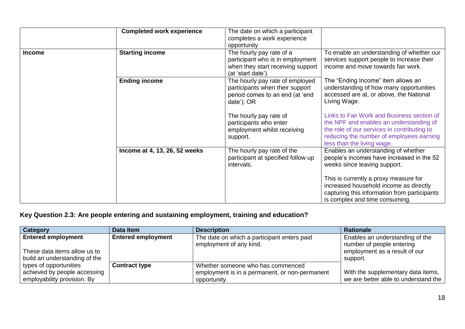|               | <b>Completed work experience</b> | The date on which a participant<br>completes a work experience<br>opportunity                                           |                                                                                                                                                                                                                |
|---------------|----------------------------------|-------------------------------------------------------------------------------------------------------------------------|----------------------------------------------------------------------------------------------------------------------------------------------------------------------------------------------------------------|
| <b>Income</b> | <b>Starting income</b>           | The hourly pay rate of a<br>participant who is in employment<br>when they start receiving support<br>(at 'start date'). | To enable an understanding of whether our<br>services support people to increase their<br>income and move towards fair work.                                                                                   |
|               | <b>Ending income</b>             | The hourly pay rate of employed<br>participants when their support<br>period comes to an end (at 'end<br>date'); OR     | The "Ending Income" item allows an<br>understanding of how many opportunities<br>accessed are at, or above, the National<br>Living Wage.                                                                       |
|               |                                  | The hourly pay rate of<br>participants who enter<br>employment whilst receiving<br>support.                             | Links to Fair Work and Business section of<br>the NPF and enables an understanding of<br>the role of our services in contributing to<br>reducing the number of employees earning<br>less than the living wage. |
|               | Income at 4, 13, 26, 52 weeks    | The hourly pay rate of the<br>participant at specified follow up<br>intervals.                                          | Enables an understanding of whether<br>people's incomes have increased in the 52<br>weeks since leaving support.                                                                                               |
|               |                                  |                                                                                                                         | This is currently a proxy measure for<br>increased household income as directly<br>capturing this information from participants<br>is complex and time consuming.                                              |

## **Key Question 2.3: Are people entering and sustaining employment, training and education?**

| <b>Category</b>               | Data Item                 | <b>Description</b>                                                     | <b>Rationale</b>                                             |
|-------------------------------|---------------------------|------------------------------------------------------------------------|--------------------------------------------------------------|
| <b>Entered employment</b>     | <b>Entered employment</b> | The date on which a participant enters paid<br>employment of any kind. | Enables an understanding of the<br>number of people entering |
| These data items allow us to  |                           |                                                                        | employment as a result of our                                |
| build an understanding of the |                           |                                                                        | support.                                                     |
| types of opportunities        | <b>Contract type</b>      | Whether someone who has commenced                                      |                                                              |
| achieved by people accessing  |                           | employment is in a permanent, or non-permanent                         | With the supplementary data items,                           |
| employability provision. By   |                           | opportunity.                                                           | we are better able to understand the                         |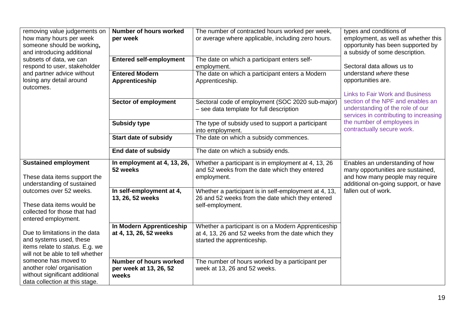| removing value judgements on     | <b>Number of hours worked</b>  | The number of contracted hours worked per week,                                              | types and conditions of                |
|----------------------------------|--------------------------------|----------------------------------------------------------------------------------------------|----------------------------------------|
| how many hours per week          | per week                       | or average where applicable, including zero hours.                                           | employment, as well as whether this    |
| someone should be working,       |                                |                                                                                              | opportunity has been supported by      |
| and introducing additional       |                                |                                                                                              | a subsidy of some description.         |
| subsets of data, we can          | <b>Entered self-employment</b> | The date on which a participant enters self-                                                 |                                        |
| respond to user, stakeholder     |                                | employment.                                                                                  | Sectoral data allows us to             |
| and partner advice without       | <b>Entered Modern</b>          | The date on which a participant enters a Modern                                              | understand where these                 |
| losing any detail around         | Apprenticeship                 | Apprenticeship.                                                                              | opportunities are.                     |
| outcomes.                        |                                |                                                                                              | <b>Links to Fair Work and Business</b> |
|                                  |                                |                                                                                              | section of the NPF and enables an      |
|                                  | Sector of employment           | Sectoral code of employment (SOC 2020 sub-major)<br>- see data template for full description | understanding of the role of our       |
|                                  |                                |                                                                                              | services in contributing to increasing |
|                                  | <b>Subsidy type</b>            | The type of subsidy used to support a participant                                            | the number of employees in             |
|                                  |                                | into employment.                                                                             | contractually secure work.             |
|                                  | <b>Start date of subsidy</b>   | The date on which a subsidy commences.                                                       |                                        |
|                                  |                                |                                                                                              |                                        |
|                                  | End date of subsidy            | The date on which a subsidy ends.                                                            |                                        |
| <b>Sustained employment</b>      | In employment at 4, 13, 26,    | Whether a participant is in employment at 4, 13, 26                                          | Enables an understanding of how        |
|                                  | 52 weeks                       | and 52 weeks from the date which they entered                                                | many opportunities are sustained,      |
| These data items support the     |                                | employment.                                                                                  | and how many people may require        |
| understanding of sustained       |                                |                                                                                              | additional on-going support, or have   |
| outcomes over 52 weeks.          | In self-employment at 4,       | Whether a participant is in self-employment at 4, 13,                                        | fallen out of work.                    |
|                                  | 13, 26, 52 weeks               | 26 and 52 weeks from the date which they entered                                             |                                        |
| These data items would be        |                                | self-employment.                                                                             |                                        |
| collected for those that had     |                                |                                                                                              |                                        |
| entered employment.              |                                |                                                                                              |                                        |
| Due to limitations in the data   | In Modern Apprenticeship       | Whether a participant is on a Modern Apprenticeship                                          |                                        |
| and systems used, these          | at 4, 13, 26, 52 weeks         | at 4, 13, 26 and 52 weeks from the date which they                                           |                                        |
| items relate to status. E.g. we  |                                | started the apprenticeship.                                                                  |                                        |
| will not be able to tell whether |                                |                                                                                              |                                        |
| someone has moved to             | <b>Number of hours worked</b>  | The number of hours worked by a participant per                                              |                                        |
| another role/ organisation       | per week at 13, 26, 52         | week at 13, 26 and 52 weeks.                                                                 |                                        |
| without significant additional   | weeks                          |                                                                                              |                                        |
| data collection at this stage.   |                                |                                                                                              |                                        |